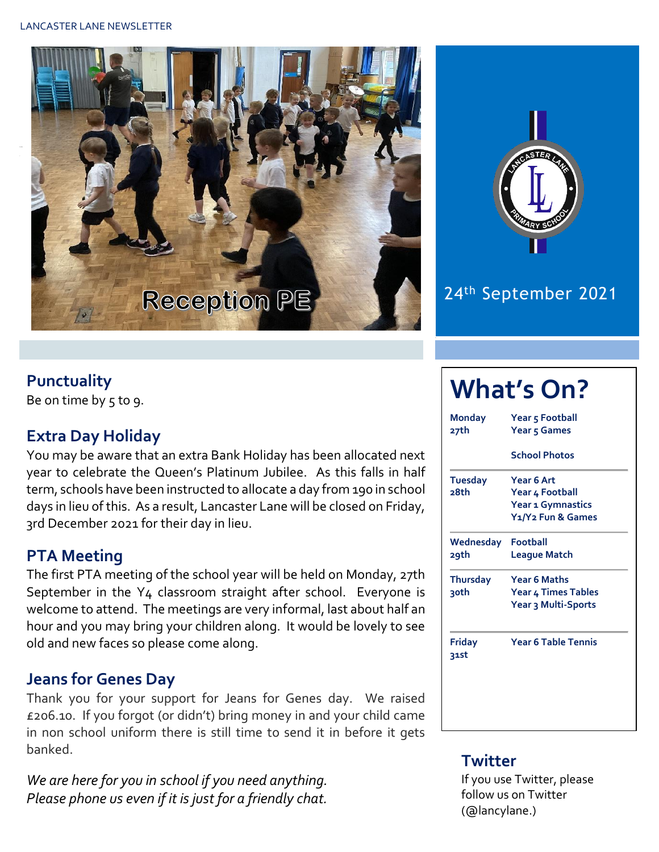



### 24th September 2021

#### **Punctuality**

Be on time by  $5$  to  $9$ .

#### **Extra Day Holiday**

You may be aware that an extra Bank Holiday has been allocated next year to celebrate the Queen's Platinum Jubilee. As this falls in half term, schools have been instructed to allocate a day from 190 in school days in lieu of this. As a result, Lancaster Lane will be closed on Friday, 3rd December 2021 for their day in lieu.

#### **PTA Meeting**

The first PTA meeting of the school year will be held on Monday, 27th September in the Y4 classroom straight after school. Everyone is welcome to attend. The meetings are very informal, last about half an hour and you may bring your children along. It would be lovely to see old and new faces so please come along.

#### **Jeans for Genes Day**

Thank you for your support for Jeans for Genes day. We raised £206.10. If you forgot (or didn't) bring money in and your child came in non school uniform there is still time to send it in before it gets banked.

*We are here for you in school if you need anything. Please phone us even if it is just for a friendly chat.* 

# **What's On?**

| Monday<br>27th        | Year 5 Football<br>Year 5 Games            |  |  |  |  |
|-----------------------|--------------------------------------------|--|--|--|--|
|                       | <b>School Photos</b>                       |  |  |  |  |
| <b>Tuesday</b>        | Year 6 Art                                 |  |  |  |  |
| 28th                  | Year 4 Football                            |  |  |  |  |
|                       | Year 1 Gymnastics                          |  |  |  |  |
|                       | Y <sub>1</sub> /Y <sub>2</sub> Fun & Games |  |  |  |  |
| Wednesday             | Football                                   |  |  |  |  |
| 29th                  | <b>League Match</b>                        |  |  |  |  |
| <b>Thursday</b>       | <b>Year 6 Maths</b>                        |  |  |  |  |
| ३०th                  | Year 4 Times Tables                        |  |  |  |  |
|                       | Year 3 Multi-Sports                        |  |  |  |  |
| <b>Friday</b><br>31st | <b>Year 6 Table Tennis</b>                 |  |  |  |  |
|                       |                                            |  |  |  |  |
|                       |                                            |  |  |  |  |
|                       |                                            |  |  |  |  |
|                       |                                            |  |  |  |  |

#### **Twitter**

If you use Twitter, please follow us on Twitter (@lancylane.)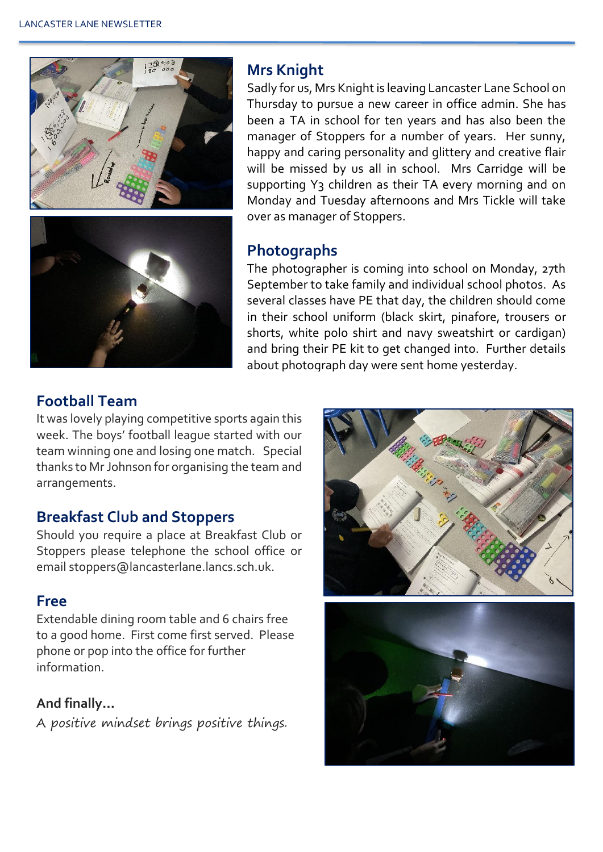

#### **Mrs Knight**

Sadly for us, Mrs Knight is leaving Lancaster Lane School on Thursday to pursue a new career in office admin. She has been a TA in school for ten years and has also been the manager of Stoppers for a number of years. Her sunny, happy and caring personality and glittery and creative flair will be missed by us all in school. Mrs Carridge will be supporting Y3 children as their TA every morning and on Monday and Tuesday afternoons and Mrs Tickle will take over as manager of Stoppers.

#### **Photographs**

The photographer is coming into school on Monday, 27th September to take family and individual school photos. As several classes have PE that day, the children should come in their school uniform (black skirt, pinafore, trousers or shorts, white polo shirt and navy sweatshirt or cardigan) and bring their PE kit to get changed into. Further details about photograph day were sent home yesterday.

#### **Football Team**

It was lovely playing competitive sports again this week. The boys' football league started with our team winning one and losing one match. Special thanks to Mr Johnson for organising the team and arrangements.

#### **Breakfast Club and Stoppers**

Should you require a place at Breakfast Club or Stoppers please telephone the school office or email stoppers@lancasterlane.lancs.sch.uk.

#### **Free**

Extendable dining room table and 6 chairs free to a good home. First come first served. Please phone or pop into the office for further information.

#### **And finally…**

A positive mindset brings positive things.